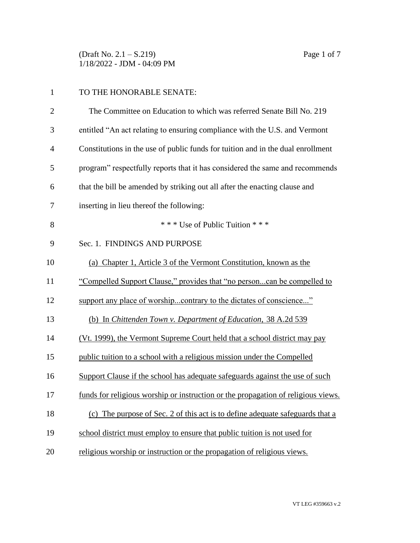(Draft No. 2.1 – S.219) Page 1 of 7 1/18/2022 - JDM - 04:09 PM

## TO THE HONORABLE SENATE:

| $\overline{2}$ | The Committee on Education to which was referred Senate Bill No. 219              |
|----------------|-----------------------------------------------------------------------------------|
| 3              | entitled "An act relating to ensuring compliance with the U.S. and Vermont        |
| $\overline{4}$ | Constitutions in the use of public funds for tuition and in the dual enrollment   |
| 5              | program" respectfully reports that it has considered the same and recommends      |
| 6              | that the bill be amended by striking out all after the enacting clause and        |
| 7              | inserting in lieu thereof the following:                                          |
| 8              | *** Use of Public Tuition ***                                                     |
| 9              | Sec. 1. FINDINGS AND PURPOSE                                                      |
| 10             | (a) Chapter 1, Article 3 of the Vermont Constitution, known as the                |
| 11             | "Compelled Support Clause," provides that "no personcan be compelled to           |
| 12             | support any place of worshipcontrary to the dictates of conscience"               |
| 13             | (b) In Chittenden Town v. Department of Education, 38 A.2d 539                    |
| 14             | (Vt. 1999), the Vermont Supreme Court held that a school district may pay         |
| 15             | public tuition to a school with a religious mission under the Compelled           |
| 16             | Support Clause if the school has adequate safeguards against the use of such      |
| 17             | funds for religious worship or instruction or the propagation of religious views. |
| 18             | (c) The purpose of Sec. 2 of this act is to define adequate safeguards that a     |
| 19             | school district must employ to ensure that public tuition is not used for         |
| 20             | religious worship or instruction or the propagation of religious views.           |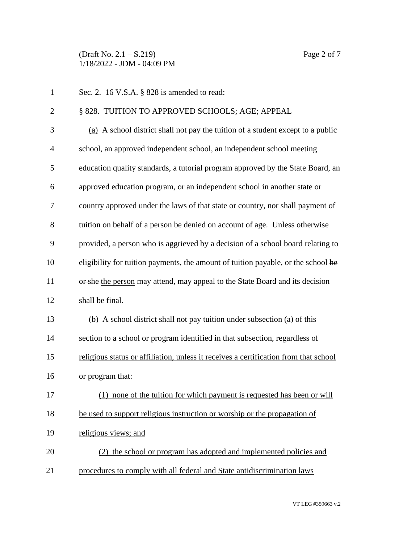(Draft No. 2.1 – S.219) Page 2 of 7 1/18/2022 - JDM - 04:09 PM

1 Sec. 2. 16 V.S.A. § 828 is amended to read: 2 § 828. TUITION TO APPROVED SCHOOLS; AGE; APPEAL (a) A school district shall not pay the tuition of a student except to a public school, an approved independent school, an independent school meeting education quality standards, a tutorial program approved by the State Board, an approved education program, or an independent school in another state or country approved under the laws of that state or country, nor shall payment of tuition on behalf of a person be denied on account of age. Unless otherwise provided, a person who is aggrieved by a decision of a school board relating to eligibility for tuition payments, the amount of tuition payable, or the school he 11 or she the person may attend, may appeal to the State Board and its decision shall be final. (b) A school district shall not pay tuition under subsection (a) of this section to a school or program identified in that subsection, regardless of religious status or affiliation, unless it receives a certification from that school or program that: (1) none of the tuition for which payment is requested has been or will be used to support religious instruction or worship or the propagation of religious views; and (2) the school or program has adopted and implemented policies and procedures to comply with all federal and State antidiscrimination laws

VT LEG #359663 v.2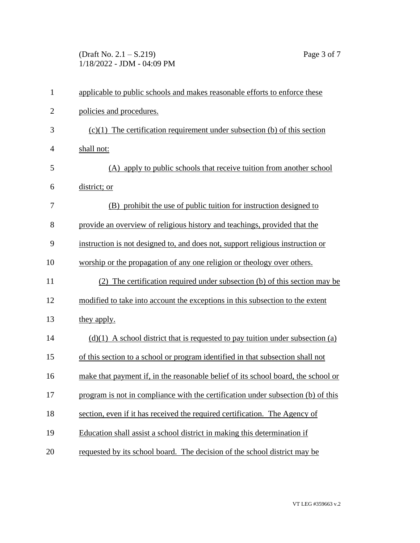(Draft No. 2.1 – S.219) Page 3 of 7 1/18/2022 - JDM - 04:09 PM

| $\mathbf{1}$ | applicable to public schools and makes reasonable efforts to enforce these        |
|--------------|-----------------------------------------------------------------------------------|
| $\mathbf{2}$ | policies and procedures.                                                          |
| 3            | $(c)(1)$ The certification requirement under subsection (b) of this section       |
| 4            | shall not:                                                                        |
| 5            | (A) apply to public schools that receive tuition from another school              |
| 6            | district; or                                                                      |
| 7            | (B) prohibit the use of public tuition for instruction designed to                |
| 8            | provide an overview of religious history and teachings, provided that the         |
| 9            | instruction is not designed to, and does not, support religious instruction or    |
| 10           | worship or the propagation of any one religion or theology over others.           |
| 11           | (2) The certification required under subsection (b) of this section may be        |
| 12           | modified to take into account the exceptions in this subsection to the extent     |
| 13           | they apply.                                                                       |
| 14           | $(d)(1)$ A school district that is requested to pay tuition under subsection (a)  |
| 15           | of this section to a school or program identified in that subsection shall not    |
| 16           | make that payment if, in the reasonable belief of its school board, the school or |
| 17           | program is not in compliance with the certification under subsection (b) of this  |
| 18           | section, even if it has received the required certification. The Agency of        |
| 19           | Education shall assist a school district in making this determination if          |
| 20           | requested by its school board. The decision of the school district may be         |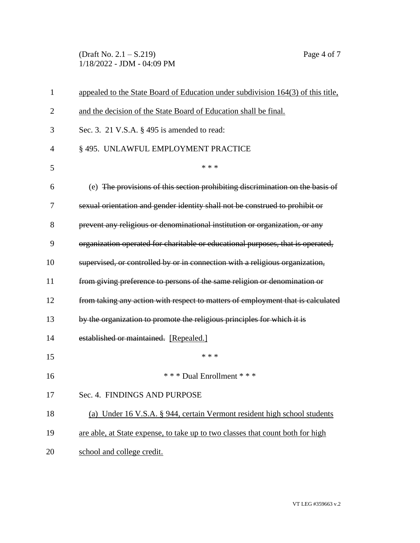(Draft No. 2.1 – S.219) Page 4 of 7 1/18/2022 - JDM - 04:09 PM

| 1              | appealed to the State Board of Education under subdivision 164(3) of this title, |
|----------------|----------------------------------------------------------------------------------|
| $\overline{2}$ | and the decision of the State Board of Education shall be final.                 |
| 3              | Sec. 3. 21 V.S.A. § 495 is amended to read:                                      |
| 4              | § 495. UNLAWFUL EMPLOYMENT PRACTICE                                              |
| 5              | * * *                                                                            |
| 6              | (e) The provisions of this section prohibiting discrimination on the basis of    |
| 7              | sexual orientation and gender identity shall not be construed to prohibit or     |
| 8              | prevent any religious or denominational institution or organization, or any      |
| 9              | organization operated for charitable or educational purposes, that is operated,  |
| 10             | supervised, or controlled by or in connection with a religious organization,     |
| 11             | from giving preference to persons of the same religion or denomination or        |
| 12             | from taking any action with respect to matters of employment that is calculated  |
| 13             | by the organization to promote the religious principles for which it is          |
| 14             | established or maintained. [Repealed.]                                           |
| 15             | * * *                                                                            |
| 16             | *** Dual Enrollment ***                                                          |
| 17             | Sec. 4. FINDINGS AND PURPOSE                                                     |
| 18             | (a) Under 16 V.S.A. § 944, certain Vermont resident high school students         |
| 19             | are able, at State expense, to take up to two classes that count both for high   |
| 20             | school and college credit.                                                       |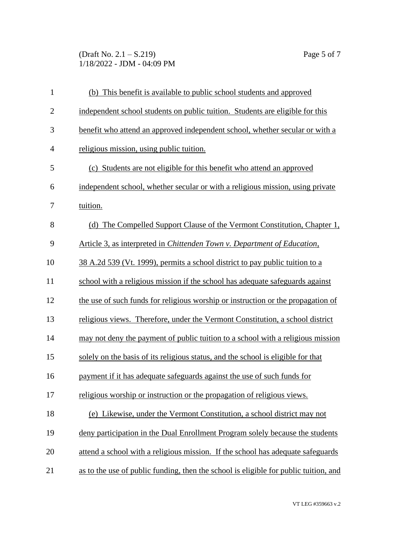(Draft No. 2.1 – S.219) Page 5 of 7 1/18/2022 - JDM - 04:09 PM

| $\mathbf{1}$   | (b) This benefit is available to public school students and approved                 |
|----------------|--------------------------------------------------------------------------------------|
| $\mathbf{2}$   | independent school students on public tuition. Students are eligible for this        |
| 3              | benefit who attend an approved independent school, whether secular or with a         |
| $\overline{4}$ | religious mission, using public tuition.                                             |
| 5              | (c) Students are not eligible for this benefit who attend an approved                |
| 6              | independent school, whether secular or with a religious mission, using private       |
| 7              | tuition.                                                                             |
| 8              | (d) The Compelled Support Clause of the Vermont Constitution, Chapter 1,             |
| 9              | Article 3, as interpreted in Chittenden Town v. Department of Education,             |
| 10             | 38 A.2d 539 (Vt. 1999), permits a school district to pay public tuition to a         |
| 11             | school with a religious mission if the school has adequate safeguards against        |
| 12             | the use of such funds for religious worship or instruction or the propagation of     |
| 13             | religious views. Therefore, under the Vermont Constitution, a school district        |
| 14             | may not deny the payment of public tuition to a school with a religious mission      |
| 15             | solely on the basis of its religious status, and the school is eligible for that     |
| 16             | payment if it has adequate safeguards against the use of such funds for              |
| 17             | religious worship or instruction or the propagation of religious views.              |
| 18             | (e) Likewise, under the Vermont Constitution, a school district may not              |
| 19             | deny participation in the Dual Enrollment Program solely because the students        |
| 20             | attend a school with a religious mission. If the school has adequate safeguards      |
| 21             | as to the use of public funding, then the school is eligible for public tuition, and |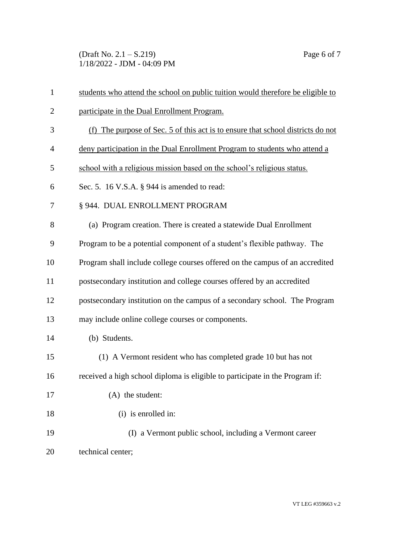(Draft No. 2.1 – S.219) Page 6 of 7 1/18/2022 - JDM - 04:09 PM

| $\mathbf{1}$   | students who attend the school on public tuition would therefore be eligible to |
|----------------|---------------------------------------------------------------------------------|
| $\overline{2}$ | participate in the Dual Enrollment Program.                                     |
| 3              | (f) The purpose of Sec. 5 of this act is to ensure that school districts do not |
| $\overline{4}$ | deny participation in the Dual Enrollment Program to students who attend a      |
| 5              | school with a religious mission based on the school's religious status.         |
| 6              | Sec. 5. 16 V.S.A. § 944 is amended to read:                                     |
| 7              | § 944. DUAL ENROLLMENT PROGRAM                                                  |
| 8              | (a) Program creation. There is created a statewide Dual Enrollment              |
| 9              | Program to be a potential component of a student's flexible pathway. The        |
| 10             | Program shall include college courses offered on the campus of an accredited    |
| 11             | postsecondary institution and college courses offered by an accredited          |
| 12             | postsecondary institution on the campus of a secondary school. The Program      |
| 13             | may include online college courses or components.                               |
| 14             | (b) Students.                                                                   |
| 15             | (1) A Vermont resident who has completed grade 10 but has not                   |
| 16             | received a high school diploma is eligible to participate in the Program if:    |
| 17             | (A) the student:                                                                |
| 18             | (i) is enrolled in:                                                             |
| 19             | (I) a Vermont public school, including a Vermont career                         |
| 20             | technical center;                                                               |